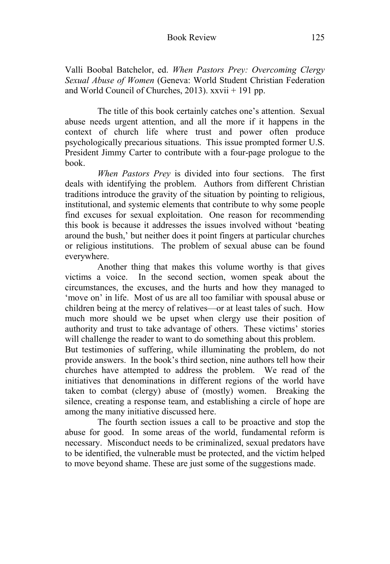Valli Boobal Batchelor, ed. *When Pastors Prey: Overcoming Clergy Sexual Abuse of Women* (Geneva: World Student Christian Federation and World Council of Churches, 2013). xxvii + 191 pp.

 The title of this book certainly catches one's attention. Sexual abuse needs urgent attention, and all the more if it happens in the context of church life where trust and power often produce psychologically precarious situations. This issue prompted former U.S. President Jimmy Carter to contribute with a four-page prologue to the book.

 *When Pastors Prey* is divided into four sections. The first deals with identifying the problem. Authors from different Christian traditions introduce the gravity of the situation by pointing to religious, institutional, and systemic elements that contribute to why some people find excuses for sexual exploitation. One reason for recommending this book is because it addresses the issues involved without 'beating around the bush,' but neither does it point fingers at particular churches or religious institutions. The problem of sexual abuse can be found everywhere.

 Another thing that makes this volume worthy is that gives victims a voice. In the second section, women speak about the circumstances, the excuses, and the hurts and how they managed to 'move on' in life. Most of us are all too familiar with spousal abuse or children being at the mercy of relatives—or at least tales of such. How much more should we be upset when clergy use their position of authority and trust to take advantage of others. These victims' stories will challenge the reader to want to do something about this problem.

But testimonies of suffering, while illuminating the problem, do not provide answers. In the book's third section, nine authors tell how their churches have attempted to address the problem. We read of the initiatives that denominations in different regions of the world have taken to combat (clergy) abuse of (mostly) women. Breaking the silence, creating a response team, and establishing a circle of hope are among the many initiative discussed here.

 The fourth section issues a call to be proactive and stop the abuse for good. In some areas of the world, fundamental reform is necessary. Misconduct needs to be criminalized, sexual predators have to be identified, the vulnerable must be protected, and the victim helped to move beyond shame. These are just some of the suggestions made.